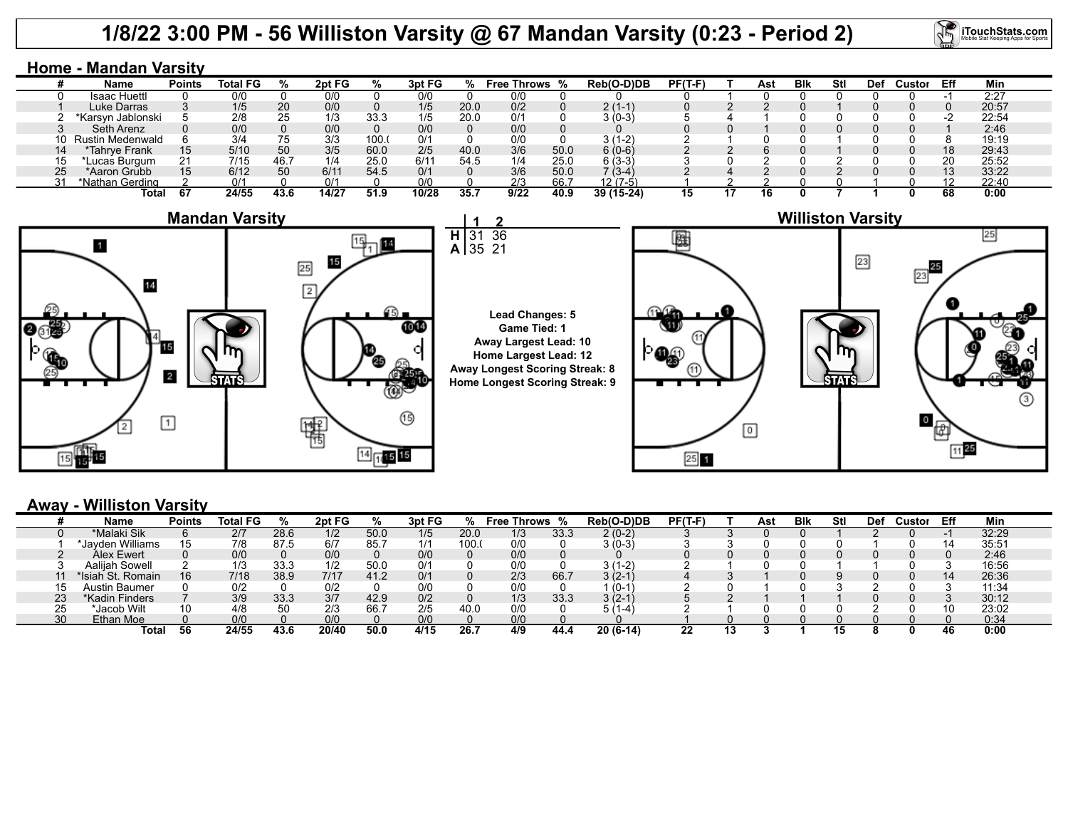# **1/8/22 3:00 PM - 56 Williston Varsity @ 67 Mandan Varsity (0:23 - Period 2)**

31

**H**

**2** 36 **iTouchStats.com** 

|    | <b>Home - Mandan Varsity</b> |               |                 |      |        |       |        |      |                    |      |            |           |  |     |            |     |     |        |     |       |
|----|------------------------------|---------------|-----------------|------|--------|-------|--------|------|--------------------|------|------------|-----------|--|-----|------------|-----|-----|--------|-----|-------|
|    | <b>Name</b>                  | <b>Points</b> | <b>Total FG</b> |      | 2pt FG | %     | 3pt FG |      | <b>Free Throws</b> | %    | Reb(O-D)DB | $PF(T-F)$ |  | Ast | <b>Blk</b> | Stl | Def | Custor | Eff | Min   |
|    | Isaac Huettl                 |               | 0/0             |      | 0/0    |       | 0/0    |      | 0/0                |      |            |           |  |     |            |     |     |        |     | 2:27  |
|    | Luke Darras                  |               | 1/5             | 20   | 0/0    |       | 1/5    | 20.0 | 0/2                |      | $2(1-1)$   |           |  |     |            |     |     |        |     | 20:57 |
|    | *Karsyn Jablonski            |               | 2/8             | 25   | 1/3    | 33.3  | 1/5    | 20.0 | 0/1                |      | $3(0-3)$   |           |  |     |            |     |     |        | -2  | 22:54 |
|    | Seth Arenz                   |               | 0/0             |      | 0/0    |       | 0/0    |      | 0/0                |      |            |           |  |     |            |     |     |        |     | 2:46  |
|    | 10 Rustin Medenwald          |               | 3/4             | 75   | 3/3    | 100.0 | 0/1    |      | 0/0                |      | $3(1-2)$   |           |  |     |            |     |     |        |     | 19:19 |
| 14 | *Tahrve Frank                | 15            | 5/10            | 50   | 3/5    | 60.0  | 2/5    | 40.0 | 3/6                | 50.0 | $6(0-6)$   |           |  |     |            |     |     |        | 18  | 29:43 |
| 15 | Lucas Burgum                 | 21            | 7/15            | 46.7 | 1/4    | 25.0  | 6/11   | 54.5 | 1/4                | 25.0 | $6(3-3)$   |           |  |     |            |     |     |        | 20  | 25:52 |
| 25 | *Aaron Grubb                 | 15            | 6/12            | 50   | 6/11   | 54.5  | 0/1    |      | 3/6                | 50.0 | $7(3-4)$   |           |  |     |            |     |     |        | 13  | 33:22 |
|    | *Nathan Gerding              |               | 0/1             |      | 0/1    |       | 0/0    |      | 2/3                | 66.7 | $12(7-5)$  |           |  |     |            |     |     |        | 10  | 22:40 |
|    | Total                        | 67            | 24/55           | 43.6 | 14/27  | 51.9  | 10/28  | 35.7 | 9/22               | 40.9 | 39 (15-24) | 15        |  | 16  |            |     |     |        | 68  | 0:00  |



### 35 21 **A Lead Changes: 5 Game Tied: 1 Away Largest Lead: 10 Home Largest Lead: 12 Away Longest Scoring Streak: 8 Home Longest Scoring Streak: 9**



## **Away - Williston Varsity**

|                 | Name              | <b>Points</b> | ∣ FG<br>Total |      | 2pt FG | %    | 3pt FG |      | Free Throws % |      | Reb(O-D)DB | $PF(T-F)$ |    | Ast | Blk | Stl | Def | Custor | Eff | Min   |
|-----------------|-------------------|---------------|---------------|------|--------|------|--------|------|---------------|------|------------|-----------|----|-----|-----|-----|-----|--------|-----|-------|
|                 | *Malaki Sik       |               | 2/7           | 28.6 | 1/2    | 50.0 | 1/5    | 20.0 | 1/3           | 33.3 | 2 (0-2)    |           |    |     |     |     |     |        |     | 32:29 |
|                 | *Javden Williams  | 15            | 7/8           | 87.5 | 6/7    | 85.7 | 1/1    | 100. | 0/0           |      | 3 (0-3)    |           |    |     |     |     |     |        |     | 35:5' |
|                 | <b>Alex Ewert</b> |               | 0/0           |      | 0/0    |      | 0/0    |      | 0/0           |      |            |           |    |     |     |     |     |        |     | 2:46  |
|                 | Aaliiah Sowell    |               | 1/3           | 33.3 | 112    | 50.0 | 0/1    |      | 0/0           |      | $(1-2)$    |           |    |     |     |     |     |        |     | 16:56 |
|                 | *Isiah St. Romain | 16            | 7/18          | 38.9 | 7/17   | 41.2 | 0/1    |      | 2/3           | 66.  | $3(2-1)$   |           |    |     |     |     |     |        | 14  | 26:36 |
| 15              | Austin Baumer     |               | 0/2           |      | 0/2    |      | 0/0    |      | 0/0           |      | (0-1       |           |    |     |     |     |     |        |     | 11:34 |
| 23              | *Kadin Finders    |               | 3/9           | 33.3 | 3/7    | 42.9 | 0/2    |      | 1/3           | 33.3 | 3 (2-1     |           |    |     |     |     |     |        |     | 30:12 |
| 25              | *Jacob Wilt       | 10            | 4/8           | 50   | 2/3    | 66.7 | 2/5    | 40 C | 0/0           |      | l –4       |           |    |     |     |     |     |        | 10  | 23:02 |
| 30 <sup>2</sup> | Ethan Moe         |               | 0/0           |      | 0/6    |      | 0/0    |      | 0/0           |      |            |           |    |     |     |     |     |        |     | 0:34  |
|                 | Total             | 56            | 24/55         | 43.6 | 20/40  | 50.0 | 4/15   | 26.7 | 4/9           | 44.4 | $20(6-14)$ | 22        | IJ |     |     |     |     |        | 46  | 0:00  |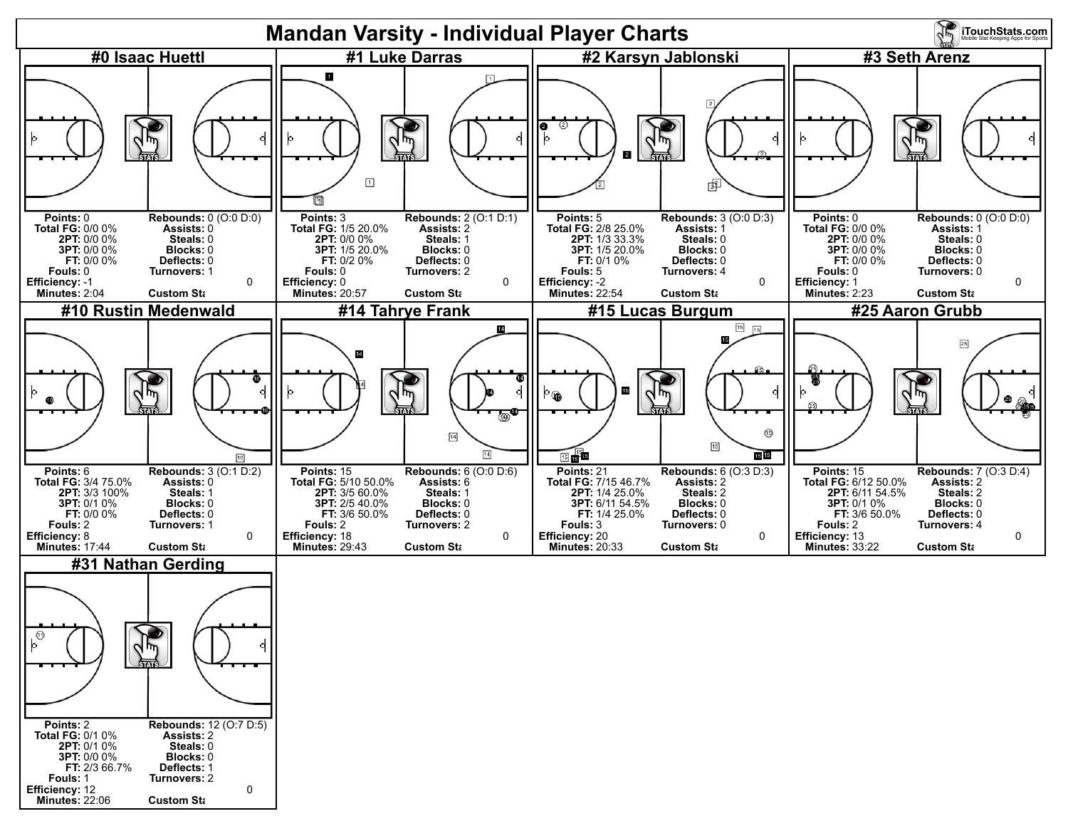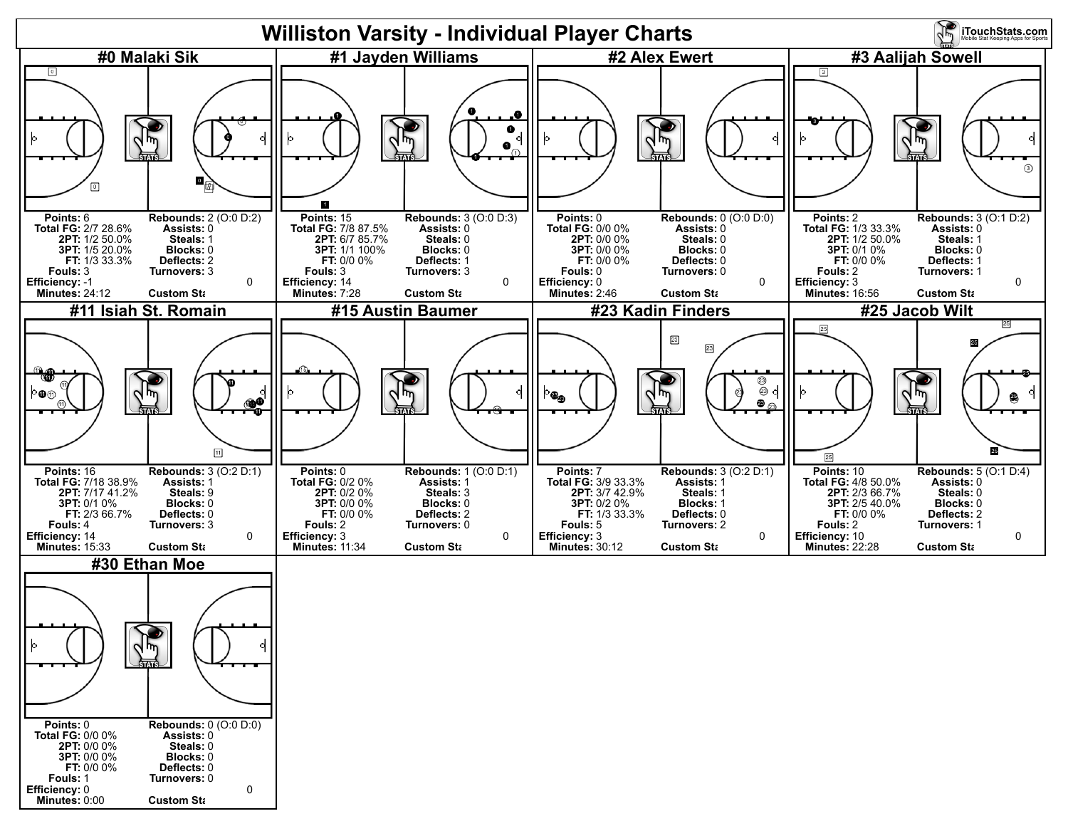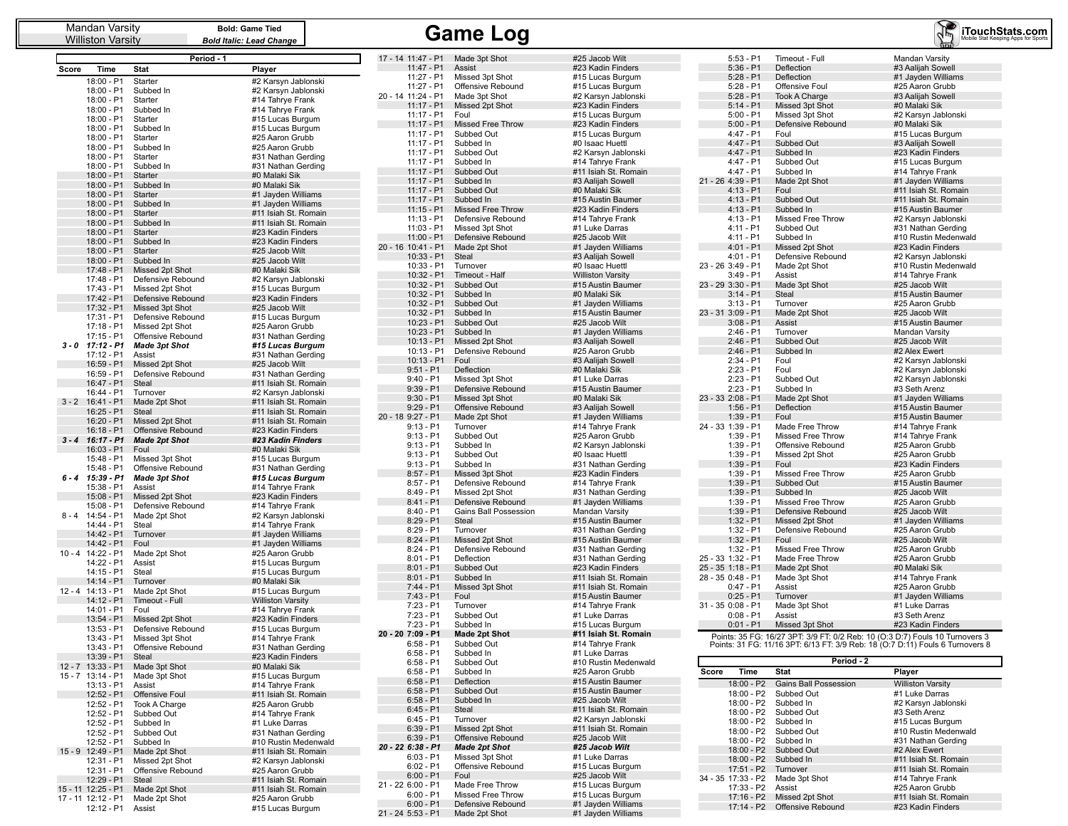Williston Varsity

|          |                          | Period - 1                           |                                              |
|----------|--------------------------|--------------------------------------|----------------------------------------------|
| Score    | Time                     | <b>Stat</b>                          | Player                                       |
|          | 18:00 - P1               | Starter                              | #2 Karsyn Jablonski                          |
|          | 18:00 - P1               | Subbed In                            | #2 Karsyn Jablonski                          |
|          | 18:00 - P1               | Starter                              | #14 Tahrye Frank                             |
|          | 18:00 - P1               | Subbed In                            | #14 Tahrye Frank                             |
|          | 18:00 - P1               | Starter                              | #15 Lucas Burgum                             |
|          | 18:00 - P1               | Subbed In                            | #15 Lucas Burgum                             |
|          | 18:00 - P1<br>18:00 - P1 | Starter<br>Subbed In                 | #25 Aaron Grubb<br>#25 Aaron Grubb           |
|          | 18:00 - P1               | Starter                              | #31 Nathan Gerding                           |
|          | 18:00 - P1               | Subbed In                            | #31 Nathan Gerding                           |
|          | 18:00 - P1               | Starter                              | #0 Malaki Sik                                |
|          | 18:00 - P1               | Subbed In                            | #0 Malaki Sik                                |
|          | 18:00 - P1               | Starter                              | #1 Jayden Williams                           |
|          | 18:00 - P1               | Subbed In                            | #1 Jayden Williams                           |
|          | 18:00 - P1               | Starter                              | #11 Isiah St. Romain<br>#11 Isiah St. Romain |
|          | 18:00 - P1<br>18:00 - P1 | Subbed In<br>Starter                 | #23 Kadin Finders                            |
|          | 18:00 - P1               | Subbed In                            | #23 Kadin Finders                            |
|          | 18:00 - P1               | Starter                              | #25 Jacob Wilt                               |
|          | 18:00 - P1               | Subbed In                            | #25 Jacob Wilt                               |
|          | 17:48 - P1               | Missed 2pt Shot                      | #0 Malaki Sik                                |
|          | 17:48 - P1               | Defensive Rebound                    | #2 Karsyn Jablonski                          |
|          | 17:43 - P1               | Missed 2pt Shot                      | #15 Lucas Burgum                             |
|          | 17:42 - P1               | Defensive Rebound                    | #23 Kadin Finders                            |
|          | 17:32 - P1<br>17:31 - P1 | Missed 3pt Shot<br>Defensive Rebound | #25 Jacob Wilt<br>#15 Lucas Burgum           |
|          | 17:18 - P1               | Missed 2pt Shot                      | #25 Aaron Grubb                              |
|          | 17:15 - P1               | Offensive Rebound                    | #31 Nathan Gerding                           |
| 3 - 0    | 17:12 - P1               | <b>Made 3pt Shot</b>                 | #15 Lucas Burgum                             |
|          | 17:12 - P1               | Assist                               | #31 Nathan Gerding                           |
|          | 16:59 - P1               | Missed 2pt Shot                      | #25 Jacob Wilt                               |
|          | 16:59 - P1               | Defensive Rebound                    | #31 Nathan Gerding                           |
|          | 16:47 - P1               | Steal                                | #11 Isiah St. Romain                         |
| $3 - 2$  | 16:44 - P1<br>16:41 - P1 | Turnover<br>Made 2pt Shot            | #2 Karsyn Jablonski<br>#11 Isiah St. Romain  |
|          | 16:25 - P1               | <b>Steal</b>                         | #11 Isiah St. Romain                         |
|          | 16:20 - P1               | Missed 2pt Shot                      | #11 Isiah St. Romain                         |
|          | 16:18 - P1               | Offensive Rebound                    | #23 Kadin Finders                            |
| $3 - 4$  | $16:17 - P1$             | <b>Made 2pt Shot</b>                 | #23 Kadin Finders                            |
|          | 16:03 - P1               | Foul                                 | #0 Malaki Sik                                |
|          | 15:48 - P1<br>15:48 - P1 | Missed 3pt Shot<br>Offensive Rebound | #15 Lucas Burgum                             |
| $6 - 4$  | 15:39 - P1               | <b>Made 3pt Shot</b>                 | #31 Nathan Gerding<br>#15 Lucas Burgum       |
|          | 15:38 - P1               | Assist                               | #14 Tahrye Frank                             |
|          | 15:08 - P1               | Missed 2pt Shot                      | #23 Kadin Finders                            |
|          | 15:08 - P1               | Defensive Rebound                    | #14 Tahrye Frank                             |
| 8 - 4    | 14:54 - P1               | Made 2pt Shot                        | #2 Karsyn Jablonski                          |
|          | 14:44 - P1               | Steal                                | #14 Tahrye Frank                             |
|          | 14:42 - P1<br>14:42 - P1 | Turnover                             | #1 Jayden Williams                           |
| $10 - 4$ | 14:22 - P1               | Foul<br>Made 2pt Shot                | #1 Jayden Williams<br>#25 Aaron Grubb        |
|          | 14:22 - P1               | Assist                               | #15 Lucas Burgum                             |
|          | 14:15 - P1               | Steal                                | #15 Lucas Burgum                             |
|          | 14:14 - P1               | Turnover                             | #0 Malaki Sik                                |
| $12 - 4$ | 14:13 - P1               | Made 2pt Shot                        | #15 Lucas Burgum                             |
|          | 14:12 - P1               | Timeout - Full                       | <b>Williston Varsity</b>                     |
|          | 14:01 - P1<br>13:54 - P1 | Foul<br>Missed 2pt Shot              | #14 Tahrye Frank<br>#23 Kadin Finders        |
|          | 13:53 - P1               | Defensive Rebound                    | #15 Lucas Burgum                             |
|          | $13:43 - P1$             | Missed 3pt Shot                      | #14 Tahrye Frank                             |
|          | 13:43 - P1               | Offensive Rebound                    | #31 Nathan Gerding                           |
|          | 13:39 - P1               | Steal                                | #23 Kadin Finders                            |
| $12 - 7$ | 13:33 - P1               | Made 3pt Shot                        | #0 Malaki Sik                                |
| 15 - 7   | 13:14 - P1               | Made 3pt Shot                        | #15 Lucas Burgum                             |
|          | 13:13 - P1<br>12:52 - P1 | Assist<br>Offensive Foul             | #14 Tahrye Frank<br>#11 Isiah St. Romain     |
|          | 12:52 - P1               | Took A Charge                        | #25 Aaron Grubb                              |
|          | 12:52 - P1               | Subbed Out                           | #14 Tahrye Frank                             |
|          | 12:52 - P1               | Subbed In                            | #1 Luke Darras                               |
|          | 12:52 - P1               | Subbed Out                           | #31 Nathan Gerding                           |
|          | 12:52 - P1               | Subbed In                            | #10 Rustin Medenwald                         |
|          | 15 - 9 12:49 - P1        | Made 2pt Shot                        | #11 Isiah St. Romain                         |
|          | 12:31 - P1               | Missed 2pt Shot                      | #2 Karsyn Jablonski<br>#25 Aaron Grubb       |
|          | 12:31 - P1<br>12:29 - P1 | Offensive Rebound<br>Steal           | #11 Isiah St. Romain                         |
|          | 15 - 11 12:25 - P1       | Made 2pt Shot                        | #11 Isiah St. Romain                         |
|          | 17 - 11 12:12 - P1       | Made 2pt Shot                        | #25 Aaron Grubb                              |
|          | 12:12 - P1               | Assist                               | #15 Lucas Burgum                             |

| 17 - 14 11:47 - P1 | Made 3pt Shot            | #25 Jacob Wilt           |
|--------------------|--------------------------|--------------------------|
| $11:47 - P1$       | Assist                   | #23 Kadin Finders        |
|                    |                          |                          |
| 11:27 - P1         | Missed 3pt Shot          | #15 Lucas Burgum         |
| 11:27 - P1         | Offensive Rebound        | #15 Lucas Burgum         |
| 20 - 14 11:24 - P1 | Made 3pt Shot            | #2 Karsyn Jablonski      |
| $11:17 - P1$       | Missed 2pt Shot          | #23 Kadin Finders        |
| 11:17 - P1         | Foul                     | #15 Lucas Burgum         |
|                    |                          |                          |
| $11:17 - P1$       | <b>Missed Free Throw</b> | #23 Kadin Finders        |
| 11:17 - P1         | Subbed Out               | #15 Lucas Burgum         |
| 11:17 - P1         | Subbed In                | #0 Isaac Huettl          |
| $11:17 - P1$       | Subbed Out               | #2 Karsyn Jablonski      |
|                    |                          |                          |
| 11:17 - P1         | Subbed In                | #14 Tahrye Frank         |
| $11:17 - P1$       | Subbed Out               | #11 Isiah St. Romain     |
| $11:17 - P1$       | Subbed In                | #3 Aalijah Sowell        |
| $11:17 - P1$       | Subbed Out               | #0 Malaki Sik            |
|                    |                          |                          |
| 11:17 - P1         | Subbed In                | #15 Austin Baumer        |
| $11:15 - P1$       | <b>Missed Free Throw</b> | #23 Kadin Finders        |
| $11:13 - P1$       | Defensive Rebound        | #14 Tahrye Frank         |
| 11:03 - P1         | Missed 3pt Shot          | #1 Luke Darras           |
| $11:00 - P1$       | Defensive Rebound        |                          |
|                    |                          | #25 Jacob Wilt           |
| 20 - 16 10:41 - P1 | Made 2pt Shot            | #1 Jayden Williams       |
| $10:33 - P1$       | Steal                    | #3 Aalijah Sowell        |
| 10:33 - P1         | Turnover                 | #0 Isaac Huettl          |
| 10:32 - P1         | Timeout - Half           | <b>Williston Varsity</b> |
|                    |                          |                          |
| 10:32 - P1         | Subbed Out               | #15 Austin Baumer        |
| 10:32 - P1         | Subbed In                | #0 Malaki Sik            |
| 10:32 - P1         | Subbed Out               | #1 Jayden Williams       |
| 10:32 - P1         | Subbed In                | #15 Austin Baumer        |
|                    | Subbed Out               |                          |
| $10:23 - P1$       |                          | #25 Jacob Wilt           |
| 10:23 - P1         | Subbed In                | #1 Jayden Williams       |
| $10:13 - P1$       | Missed 2pt Shot          | #3 Aalijah Sowell        |
| $10:13 - P1$       | Defensive Rebound        | #25 Aaron Grubb          |
| 10:13 - P1         | Foul                     | #3 Aalijah Sowell        |
|                    |                          |                          |
| $9:51 - P1$        | Deflection               | #0 Malaki Sik            |
| $9:40 - P1$        | Missed 3pt Shot          | #1 Luke Darras           |
| $9:39 - P1$        | Defensive Rebound        | #15 Austin Baumer        |
| $9:30 - P1$        | Missed 3pt Shot          | #0 Malaki Sik            |
|                    |                          |                          |
| $9:29 - P1$        | Offensive Rebound        | #3 Aalijah Sowell        |
| 20 - 18 9:27 - P1  | Made 2pt Shot            | #1 Jayden Williams       |
| $9:13 - P1$        | Turnover                 | #14 Tahrye Frank         |
| $9:13 - P1$        | Subbed Out               | #25 Aaron Grubb          |
| $9:13 - P1$        | Subbed In                | #2 Karsyn Jablonski      |
|                    |                          |                          |
| 9:13 - P1          | Subbed Out               | #0 Isaac Huettl          |
| $9:13 - P1$        | Subbed In                | #31 Nathan Gerding       |
| $8:57 - P1$        | Missed 3pt Shot          | #23 Kadin Finders        |
| $8:57 - P1$        | Defensive Rebound        | #14 Tahrye Frank         |
|                    |                          |                          |
| $8:49 - P1$        | Missed 2pt Shot          | #31 Nathan Gerding       |
| $8:41 - P1$        | Defensive Rebound        | #1 Jayden Williams       |
| $8:40 - P1$        | Gains Ball Possession    | Mandan Varsity           |
| $8:29 - P1$        | Steal                    | #15 Austin Baumer        |
| $8:29 - P1$        |                          |                          |
|                    | Turnover                 | #31 Nathan Gerding       |
| $8:24 - P1$        | Missed 2pt Shot          | #15 Austin Baumer        |
| $8:24 - P1$        | Defensive Rebound        | #31 Nathan Gerding       |
| $8:01 - P1$        | Deflection               | #31 Nathan Gerding       |
| $8:01 - P1$        | Subbed Out               | #23 Kadin Finders        |
|                    |                          |                          |
| $8:01 - P1$        | Subbed In                | #11 Isiah St. Romain     |
| $7:44 - P1$        | Missed 3pt Shot          | #11 Isiah St. Romain     |
| $7:43 - P1$        | Foul                     | #15 Austin Baumer        |
| $7:23 - P1$        | Turnover                 | #14 Tahrye Frank         |
| $7:23 - P1$        | Subbed Out               | #1 Luke Darras           |
|                    |                          |                          |
| 7:23 - P1          | Subbed In                | #15 Lucas Burgum         |
| 20 - 20 7:09 - P1  | <b>Made 2pt Shot</b>     | #11 Isiah St. Romain     |
| $6:58 - P1$        | Subbed Out               | #14 Tahrye Frank         |
| 6:58 - P1          | Subbed In                | #1 Luke Darras           |
|                    |                          |                          |
| $6:58 - P1$        | Subbed Out               | #10 Rustin Medenwald     |
| 6:58 - P1          | Subbed In                | #25 Aaron Grubb          |
| $6:58 - P1$        | Deflection               | #15 Austin Baumer        |
| $6:58 - P1$        | Subbed Out               | #15 Austin Baumer        |
|                    |                          |                          |
| $6:58 - P1$        | Subbed In                | #25 Jacob Wilt           |
| $6:45 - P1$        | Steal                    | #11 Isiah St. Romain     |
| $6:45 - P1$        | Turnover                 | #2 Karsyn Jablonski      |
| $6:39 - P1$        | Missed 2pt Shot          | #11 Isiah St. Romain     |
|                    |                          |                          |
| $6:39 - P1$        | Offensive Rebound        | #25 Jacob Wilt           |
| 20 - 22 6:38 - P1  | <b>Made 2pt Shot</b>     | #25 Jacob Wilt           |
| $6:03 - P1$        | Missed 3pt Shot          | #1 Luke Darras           |
| 6:02 - P1          | Offensive Rebound        | #15 Lucas Burgum         |
|                    |                          |                          |
| $6:00 - P1$        | Foul                     | #25 Jacob Wilt           |
| 21 - 22 6:00 - P1  | Made Free Throw          | #15 Lucas Burgum         |
| $6:00 - P1$        | Missed Free Throw        | #15 Lucas Burgum         |
| $6:00 - P1$        | Defensive Rebound        | #1 Jayden Williams       |
| 21 - 24 5:53 - P1  | Made 2pt Shot            | #1 Jayden Williams       |
|                    |                          |                          |

| Mandan Varsity<br>Williston Varsitv |                      | <b>Bold: Game Tied</b><br><b>Bold Italic: Lead Change</b> |                    | <b>Game Log</b><br>iTouchStats.com |                                     |                   |                      |                                                                               |  |  |  |
|-------------------------------------|----------------------|-----------------------------------------------------------|--------------------|------------------------------------|-------------------------------------|-------------------|----------------------|-------------------------------------------------------------------------------|--|--|--|
|                                     |                      | Period - 1                                                | 17 - 14 11:47 - P1 | Made 3pt Shot                      | #25 Jacob Wilt                      | $5:53 - P1$       | Timeout - Full       | Mandan Varsity                                                                |  |  |  |
| Time<br>core:                       | <b>Stat</b>          | Player                                                    | $11:47 - P1$       | Assist                             | #23 Kadin Finders                   | $5:36 - P1$       | Deflection           | #3 Aalijah Sowell                                                             |  |  |  |
| $18:00 - P1$                        | Starter              |                                                           | 11:27 - P1         | Missed 3pt Shot                    | #15 Lucas Burgum                    | $5:28 - P1$       | Deflection           | #1 Jayden Williams                                                            |  |  |  |
|                                     |                      | #2 Karsyn Jablonski                                       | $11:27 - P1$       | Offensive Rebound                  | #15 Lucas Burgum                    | $5:28 - P1$       | Offensive Foul       | #25 Aaron Grubb                                                               |  |  |  |
| 18:00 - P1                          | Subbed In            | #2 Karsyn Jablonski                                       | 20 - 14 11:24 - P1 | Made 3pt Shot                      | #2 Karsyn Jablonski                 | $5:28 - P1$       | <b>Took A Charge</b> | #3 Aalijah Sowell                                                             |  |  |  |
| 18:00 - P1                          | Starter              | #14 Tahrye Frank                                          | $11:17 - P1$       | Missed 2pt Shot                    | #23 Kadin Finders                   | $5:14 - P1$       | Missed 3pt Shot      | #0 Malaki Sik                                                                 |  |  |  |
| 18:00 - P1                          | Subbed In            | #14 Tahrye Frank                                          | $11:17 - P1$       | Foul                               | #15 Lucas Burgum                    | $5:00 - P1$       | Missed 3pt Shot      | #2 Karsyn Jablonski                                                           |  |  |  |
| 18:00 - P1                          | Starter              | #15 Lucas Burgum                                          | $11:17 - P1$       | Missed Free Throw                  | #23 Kadin Finders                   | $5:00 - P1$       | Defensive Rebound    | #0 Malaki Sik                                                                 |  |  |  |
| 18:00 - P1                          | Subbed In            | #15 Lucas Burgum                                          | $11:17 - P1$       | Subbed Out                         | #15 Lucas Burgum                    | $4:47 - P1$       | Foul                 | #15 Lucas Burgum                                                              |  |  |  |
| 18:00 - P1                          | Starter              | #25 Aaron Grubb                                           | 11:17 - P1         | Subbed In                          | #0 Isaac Huettl                     | $4:47 - P1$       | Subbed Out           | #3 Aalijah Sowell                                                             |  |  |  |
| 18:00 - P1                          | Subbed In            | #25 Aaron Grubb                                           | $11:17 - P1$       | Subbed Out                         | #2 Karsvn Jablonski                 | $4:47 - P1$       | Subbed In            | #23 Kadin Finders                                                             |  |  |  |
| 18:00 - P1                          | Starter              | #31 Nathan Gerding                                        | $11:17 - P1$       | Subbed In                          | #14 Tahrye Frank                    | $4:47 - P1$       | Subbed Out           | #15 Lucas Burgum                                                              |  |  |  |
| 18:00 - P1                          | Subbed In            | #31 Nathan Gerding                                        | $11:17 - P1$       | Subbed Out                         | #11 Isiah St. Romain                | $4:47 - P1$       | Subbed In            | #14 Tahrye Frank                                                              |  |  |  |
| 18:00 - P1                          | Starter              | #0 Malaki Sik                                             | 11:17 - P1         | Subbed In                          | #3 Aalijah Sowell                   | 21 - 26 4:39 - P1 | Made 2pt Shot        | #1 Jayden Williams                                                            |  |  |  |
| 18:00 - P1                          | Subbed In            | #0 Malaki Sik                                             | $11:17 - P1$       | Subbed Out                         | #0 Malaki Sik                       | $4:13 - P1$       | Foul                 | #11 Isiah St. Romain                                                          |  |  |  |
| 18:00 - P1                          | Starter              | #1 Jayden Williams                                        | $11:17 - P1$       | Subbed In                          | #15 Austin Baumer                   | $4:13 - P1$       | Subbed Out           | #11 Isiah St. Romain                                                          |  |  |  |
| 18:00 - P1                          | Subbed In            | #1 Jayden Williams                                        | $11:15 - P1$       | <b>Missed Free Throw</b>           | #23 Kadin Finders                   | $4:13 - P1$       | Subbed In            | #15 Austin Baumer                                                             |  |  |  |
| $18:00 - P1$                        | Starter              | #11 Isiah St. Romain                                      | $11:13 - P1$       | Defensive Rebound                  | #14 Tahrye Frank                    | $4:13 - P1$       | Missed Free Throw    | #2 Karsyn Jablonski                                                           |  |  |  |
| 18:00 - P1                          | Subbed In            | #11 Isiah St. Romain                                      | $11:03 - P1$       | Missed 3pt Shot                    | #1 Luke Darras                      | $4:11 - P1$       | Subbed Out           | #31 Nathan Gerding                                                            |  |  |  |
| $18:00 - P1$                        | Starter              | #23 Kadin Finders                                         | $11:00 - P1$       | Defensive Rebound                  | #25 Jacob Wilt                      | $4:11 - P1$       | Subbed In            | #10 Rustin Medenwald                                                          |  |  |  |
| 18:00 - P1                          | Subbed In            | #23 Kadin Finders                                         | 20 - 16 10:41 - P1 | Made 2pt Shot                      | #1 Jayden Williams                  | $4:01 - P1$       | Missed 2pt Shot      | #23 Kadin Finders                                                             |  |  |  |
| 18:00 - P1                          | Starter              | #25 Jacob Wilt                                            | $10:33 - P1$       | Steal                              | #3 Aalijah Sowell                   | $4:01 - P1$       | Defensive Rebound    | #2 Karsyn Jablonski                                                           |  |  |  |
| 18:00 - P1                          | Subbed In            | #25 Jacob Wilt                                            | $10:33 - P1$       | Turnover                           | #0 Isaac Huettl                     | 23 - 26 3:49 - P1 | Made 2pt Shot        | #10 Rustin Medenwald                                                          |  |  |  |
| $17:48 - P1$                        | Missed 2pt Shot      | #0 Malaki Sik                                             | $10:32 - P1$       | Timeout - Half                     | <b>Williston Varsity</b>            | $3:49 - P1$       | Assist               | #14 Tahrye Frank                                                              |  |  |  |
| 17:48 - P1                          | Defensive Rebound    | #2 Karsyn Jablonski                                       | $10:32 - P1$       | Subbed Out                         | #15 Austin Baumer                   | 23 - 29 3:30 - P1 | Made 3pt Shot        | #25 Jacob Wilt                                                                |  |  |  |
| 17:43 - P1                          | Missed 2pt Shot      | #15 Lucas Burgum                                          | $10:32 - P1$       | Subbed In                          | #0 Malaki Sik                       | $3:14 - P1$       | <b>Steal</b>         | #15 Austin Baumer                                                             |  |  |  |
| $17:42 - P1$                        | Defensive Rebound    | #23 Kadin Finders                                         | $10:32 - P1$       | Subbed Out                         | #1 Jayden Williams                  | $3:13 - P1$       | Turnover             | #25 Aaron Grubb                                                               |  |  |  |
| 17:32 - P1                          | Missed 3pt Shot      | #25 Jacob Wilt                                            | $10:32 - P1$       | Subbed In                          |                                     | 23 - 31 3:09 - P1 | Made 2pt Shot        | #25 Jacob Wilt                                                                |  |  |  |
| 17:31 - P1                          | Defensive Rebound    | #15 Lucas Burgum                                          | $10:23 - P1$       | Subbed Out                         | #15 Austin Baumer<br>#25 Jacob Wilt | $3:08 - P1$       | Assist               |                                                                               |  |  |  |
| 17:18 - P1                          | Missed 2pt Shot      | #25 Aaron Grubb                                           |                    |                                    |                                     | $2:46 - P1$       |                      | #15 Austin Baumer                                                             |  |  |  |
| $17:15 - P1$                        | Offensive Rebound    | #31 Nathan Gerding                                        | 10:23 - P1         | Subbed In                          | #1 Jayden Williams                  |                   | Turnover             | Mandan Varsity                                                                |  |  |  |
| $0$ 17:12 - P1                      | <b>Made 3pt Shot</b> | #15 Lucas Burgum                                          | $10:13 - P1$       | Missed 2pt Shot                    | #3 Aalijah Sowell                   | $2:46 - P1$       | Subbed Out           | #25 Jacob Wilt                                                                |  |  |  |
| $17:12 - P1$                        | Assist               | #31 Nathan Gerding                                        | $10:13 - P1$       | Defensive Rebound                  | #25 Aaron Grubb                     | $2:46 - P1$       | Subbed In            | #2 Alex Ewert                                                                 |  |  |  |
| 16:59 - P1                          | Missed 2pt Shot      | #25 Jacob Wilt                                            | $10:13 - P1$       | Foul                               | #3 Aalijah Sowell                   | $2:34 - P1$       | Foul                 | #2 Karsyn Jablonski                                                           |  |  |  |
| 16:59 - P1                          | Defensive Rebound    | #31 Nathan Gerding                                        | $9:51 - P1$        | Deflection                         | #0 Malaki Sik                       | $2:23 - P1$       | Foul                 | #2 Karsyn Jablonski                                                           |  |  |  |
| 16:47 - P1                          | Steal                | #11 Isiah St. Romain                                      | $9:40 - P1$        | Missed 3pt Shot                    | #1 Luke Darras                      | $2:23 - P1$       | Subbed Out           | #2 Karsyn Jablonski                                                           |  |  |  |
| 16:44 - P1                          | Turnover             | #2 Karsyn Jablonski                                       | $9:39 - P1$        | Defensive Rebound                  | #15 Austin Baumer                   | $2:23 - P1$       | Subbed In            | #3 Seth Arenz                                                                 |  |  |  |
| $-2$ 16:41 - P1                     | Made 2pt Shot        | #11 Isiah St. Romain                                      | $9:30 - P1$        | Missed 3pt Shot                    | #0 Malaki Sik                       | 23 - 33 2:08 - P1 | Made 2pt Shot        | #1 Jayden Williams                                                            |  |  |  |
| 16:25 - P1                          | Steal                | #11 Isiah St. Romain                                      | $9:29 - P1$        | Offensive Rebound                  | #3 Aalijah Sowell                   | $1:56 - P1$       | Deflection           | #15 Austin Baumer                                                             |  |  |  |
| 16:20 - P1                          | Missed 2pt Shot      | #11 Isiah St. Romain                                      | 20 - 18 9:27 - P1  | Made 2pt Shot                      | #1 Jayden Williams                  | $1:39 - P1$       | Foul                 | #15 Austin Baumer                                                             |  |  |  |
| $16:18 - P1$                        | Offensive Rebound    | #23 Kadin Finders                                         | $9:13 - P1$        | Turnover                           | #14 Tahrye Frank                    | 24 - 33 1:39 - P1 | Made Free Throw      | #14 Tahrye Frank                                                              |  |  |  |
| $-4$ 16:17 - P1                     | <b>Made 2pt Shot</b> | #23 Kadin Finders                                         | $9:13 - P1$        | Subbed Out                         | #25 Aaron Grubb                     | $1:39 - P1$       | Missed Free Throw    | #14 Tahrye Frank                                                              |  |  |  |
| 16:03 - P1                          | Foul                 | #0 Malaki Sik                                             | $9:13 - P1$        | Subbed In                          | #2 Karsyn Jablonski                 | $1:39 - P1$       | Offensive Rebound    | #25 Aaron Grubb                                                               |  |  |  |
| 15:48 - P1                          | Missed 3pt Shot      | #15 Lucas Burgum                                          | $9:13 - P1$        | Subbed Out                         | #0 Isaac Huettl                     | $1:39 - P1$       | Missed 2pt Shot      | #25 Aaron Grubb                                                               |  |  |  |
| 15:48 - P1                          | Offensive Rebound    | #31 Nathan Gerding                                        | $9:13 - P1$        | Subbed In                          | #31 Nathan Gerding                  | $1:39 - P1$       | Foul                 | #23 Kadin Finders                                                             |  |  |  |
| -4 15:39 - P1                       | <b>Made 3pt Shot</b> | #15 Lucas Burgum                                          | $8:57 - P1$        | Missed 3pt Shot                    | #23 Kadin Finders                   | $1:39 - P1$       | Missed Free Throw    | #25 Aaron Grubb                                                               |  |  |  |
| 15:38 - P1                          | Assist               | #14 Tahrye Frank                                          | $8:57 - P1$        | Defensive Rebound                  | #14 Tahrye Frank                    | $1:39 - P1$       | Subbed Out           | #15 Austin Baumer                                                             |  |  |  |
| $15:08 - P1$                        | Missed 2pt Shot      | #23 Kadin Finders                                         | $8:49 - P1$        | Missed 2pt Shot                    | #31 Nathan Gerding                  | $1:39 - P1$       | Subbed In            | #25 Jacob Wilt                                                                |  |  |  |
| 15:08 - P1                          | Defensive Rebound    | #14 Tahrye Frank                                          | $8:41 - P1$        | Defensive Rebound                  | #1 Jayden Williams                  | $1:39 - P1$       | Missed Free Throw    | #25 Aaron Grubb                                                               |  |  |  |
| 4 14:54 - P1                        | Made 2pt Shot        | #2 Karsyn Jablonski                                       | $8:40 - P1$        | <b>Gains Ball Possession</b>       | Mandan Varsity                      | $1:39 - P1$       | Defensive Rebound    | #25 Jacob Wilt                                                                |  |  |  |
| 14:44 - P1                          | Steal                | #14 Tahrye Frank                                          | $8:29 - P1$        | Steal                              | #15 Austin Baumer                   | $1:32 - P1$       | Missed 2pt Shot      | #1 Javden Williams                                                            |  |  |  |
| 14:42 - P1                          | Turnover             | #1 Jayden Williams                                        | $8:29 - P1$        | Turnover                           | #31 Nathan Gerding                  | $1:32 - P1$       | Defensive Rebound    | #25 Aaron Grubb                                                               |  |  |  |
| 14:42 - P1                          | Foul                 | #1 Jayden Williams                                        | $8:24 - P1$        | Missed 2pt Shot                    | #15 Austin Baumer                   | $1:32 - P1$       | Foul                 | #25 Jacob Wilt                                                                |  |  |  |
| 0 - 4 14:22 - P1                    | Made 2pt Shot        | #25 Aaron Grubb                                           | $8:24 - P1$        | Defensive Rebound                  | #31 Nathan Gerding                  | $1:32 - P1$       | Missed Free Throw    | #25 Aaron Grubb                                                               |  |  |  |
| 14:22 - P1                          | Assist               | #15 Lucas Burgum                                          | $8:01 - P1$        | Deflection                         | #31 Nathan Gerding                  | 25 - 33 1:32 - P1 | Made Free Throw      | #25 Aaron Grubb                                                               |  |  |  |
| 14:15 - P1                          | Steal                | #15 Lucas Burgum                                          | $8:01 - P1$        | Subbed Out                         | #23 Kadin Finders                   | 25 - 35 1:18 - P1 | Made 2pt Shot        | #0 Malaki Sik                                                                 |  |  |  |
| 14:14 - P1                          | Turnover             | #0 Malaki Sik                                             | $8:01 - P1$        | Subbed In                          | #11 Isiah St. Romain                | 28 - 35 0:48 - P1 | Made 3pt Shot        | #14 Tahrye Frank                                                              |  |  |  |
| 2 - 4 14:13 - P1                    | Made 2pt Shot        | #15 Lucas Burgum                                          | $7:44 - P1$        | Missed 3pt Shot                    | #11 Isiah St. Romain                | $0:47 - P1$       | Assist               | #25 Aaron Grubb                                                               |  |  |  |
| 14:12 - P1                          | Timeout - Full       | <b>Williston Varsity</b>                                  | $7:43 - P1$        | Foul                               | #15 Austin Baumer                   | $0:25 - P1$       | Turnover             | #1 Jayden Williams                                                            |  |  |  |
| 14:01 - P1                          | Foul                 | #14 Tahrye Frank                                          | $7:23 - P1$        | Turnover                           | #14 Tahrye Frank                    | 31 - 35 0:08 - P1 | Made 3pt Shot        | #1 Luke Darras                                                                |  |  |  |
| 13:54 - P1                          | Missed 2pt Shot      | #23 Kadin Finders                                         | $7:23 - P1$        | Subbed Out                         | #1 Luke Darras                      | $0:08 - P1$       | Assist               | #3 Seth Arenz                                                                 |  |  |  |
| 13:53 - P1                          | Defensive Rebound    | #15 Lucas Burgum                                          | $7:23 - P1$        | Subbed In                          | #15 Lucas Burgum                    | $0:01 - P1$       | Missed 3pt Shot      | #23 Kadin Finders                                                             |  |  |  |
| 13:43 - P1                          | Missed 3pt Shot      | #14 Tahrye Frank                                          | 20 - 20 7:09 - P1  | <b>Made 2pt Shot</b>               | #11 Isiah St. Romain                |                   |                      | Points: 35 FG: 16/27 3PT: 3/9 FT: 0/2 Reb: 10 (O:3 D:7) Fouls 10 Turnovers 3  |  |  |  |
| 13:43 - P1                          | Offensive Rebound    | #31 Nathan Gerding                                        | $6:58 - P1$        | Subbed Out                         | #14 Tahrye Frank                    |                   |                      | Points: 31 FG: 11/16 3PT: 6/13 FT: 3/9 Reb: 18 (O:7 D:11) Fouls 6 Turnovers 8 |  |  |  |
| $13:39 - P1$                        | Steal                | #23 Kadin Finders                                         | $6:58 - P1$        | Subbed In                          | #1 Luke Darras                      |                   |                      |                                                                               |  |  |  |
| 2 - 7 13:33 - P1                    | Made 3pt Shot        | #0 Malaki Sik                                             | $6:58 - P1$        | Subbed Out                         | #10 Rustin Medenwald                |                   | Period - 2           |                                                                               |  |  |  |
| 5 - 7 13:14 - P1                    | Made 3pt Shot        | #15 Lucas Burgum                                          | $6:58 - P1$        | Subbed In                          | #25 Aaron Grubb                     | Score<br>Time     | <b>Stat</b>          | Player                                                                        |  |  |  |
|                                     |                      |                                                           | $6.58 - P1$        | Deflection                         | #15 Austin Baumer                   |                   |                      |                                                                               |  |  |  |

| Score | Time                 | <b>Stat</b>                  | Player                   |
|-------|----------------------|------------------------------|--------------------------|
|       | $18:00 - P2$         | <b>Gains Ball Possession</b> | <b>Williston Varsity</b> |
|       | $18:00 - P2$         | Subbed Out                   | #1 Luke Darras           |
|       | 18:00 - P2           | Subbed In                    | #2 Karsyn Jablonski      |
|       | 18:00 - P2           | Subbed Out                   | #3 Seth Arenz            |
|       | 18:00 - P2           | Subbed In                    | #15 Lucas Burgum         |
|       | 18:00 - P2           | Subbed Out                   | #10 Rustin Medenwald     |
|       | 18:00 - P2           | Subbed In                    | #31 Nathan Gerding       |
|       | $18:00 - P2$         | Subbed Out                   | #2 Alex Ewert            |
|       | $18:00 - P2$         | Subbed In                    | #11 Isiah St. Romain     |
|       | 17:51 - P2           | Turnover                     | #11 Isiah St. Romain     |
|       | $34 - 35$ 17:33 - P2 | Made 3pt Shot                | #14 Tahrye Frank         |
|       | $17:33 - P2$         | Assist                       | #25 Aaron Grubb          |
|       | 17:16 - P2           | Missed 2pt Shot              | #11 Isiah St. Romain     |
|       | 17:14 - P2           | Offensive Rebound            | #23 Kadin Finders        |